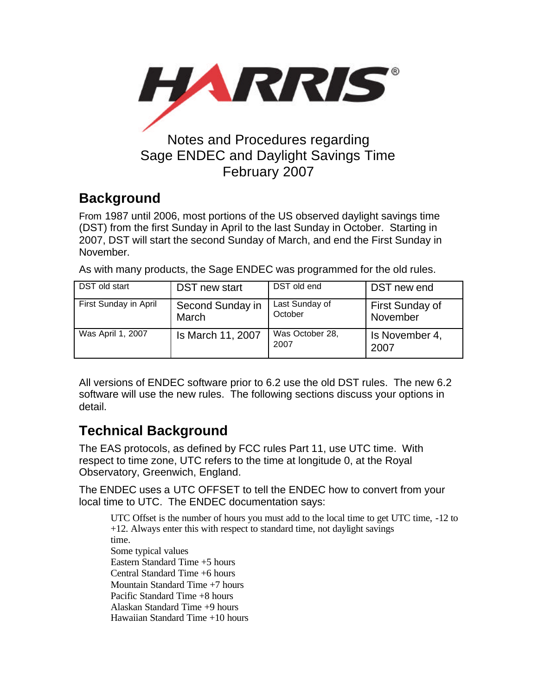

### February 2007

# **Background**

From 1987 until 2006, most portions of the US observed daylight savings time (DST) from the first Sunday in April to the last Sunday in October. Starting in 2007, DST will start the second Sunday of March, and end the First Sunday in November.

As with many products, the Sage ENDEC was programmed for the old rules.

| DST old start         | DST new start             | DST old end               | DST new end                 |
|-----------------------|---------------------------|---------------------------|-----------------------------|
| First Sunday in April | Second Sunday in<br>March | Last Sunday of<br>October | First Sunday of<br>November |
| Was April 1, 2007     | Is March 11, 2007         | Was October 28,<br>2007   | Is November 4,<br>2007      |

All versions of ENDEC software prior to 6.2 use the old DST rules. The new 6.2 software will use the new rules. The following sections discuss your options in detail.

## **Technical Background**

The EAS protocols, as defined by FCC rules Part 11, use UTC time. With respect to time zone, UTC refers to the time at longitude 0, at the Royal Observatory, Greenwich, England.

The ENDEC uses a UTC OFFSET to tell the ENDEC how to convert from your local time to UTC. The ENDEC documentation says:

UTC Offset is the number of hours you must add to the local time to get UTC time, -12 to +12. Always enter this with respect to standard time, not daylight savings time. Some typical values Eastern Standard Time +5 hours Central Standard Time +6 hours Mountain Standard Time +7 hours Pacific Standard Time +8 hours Alaskan Standard Time +9 hours Hawaiian Standard Time +10 hours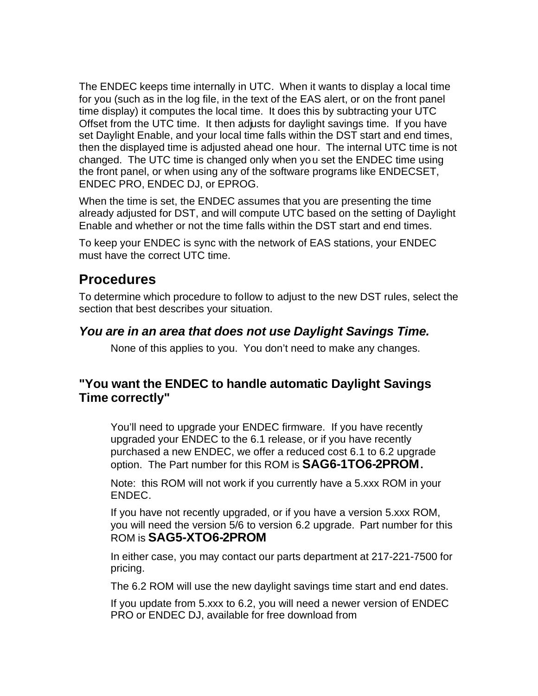The ENDEC keeps time internally in UTC. When it wants to display a local time for you (such as in the log file, in the text of the EAS alert, or on the front panel time display) it computes the local time. It does this by subtracting your UTC Offset from the UTC time. It then adjusts for daylight savings time. If you have set Daylight Enable, and your local time falls within the DST start and end times, then the displayed time is adjusted ahead one hour. The internal UTC time is not changed. The UTC time is changed only when you set the ENDEC time using the front panel, or when using any of the software programs like ENDECSET, ENDEC PRO, ENDEC DJ, or EPROG.

When the time is set, the ENDEC assumes that you are presenting the time already adjusted for DST, and will compute UTC based on the setting of Daylight Enable and whether or not the time falls within the DST start and end times.

To keep your ENDEC is sync with the network of EAS stations, your ENDEC must have the correct UTC time.

### **Procedures**

To determine which procedure to follow to adjust to the new DST rules, select the section that best describes your situation.

#### *You are in an area that does not use Daylight Savings Time.*

None of this applies to you. You don't need to make any changes.

### **"You want the ENDEC to handle automatic Daylight Savings Time correctly"**

You'll need to upgrade your ENDEC firmware. If you have recently upgraded your ENDEC to the 6.1 release, or if you have recently purchased a new ENDEC, we offer a reduced cost 6.1 to 6.2 upgrade option. The Part number for this ROM is **SAG6-1TO6-2PROM.** 

Note: this ROM will not work if you currently have a 5.xxx ROM in your ENDEC.

If you have not recently upgraded, or if you have a version 5.xxx ROM, you will need the version 5/6 to version 6.2 upgrade. Part number for this ROM is **SAG5-XTO6-2PROM**

In either case, you may contact our parts department at 217-221-7500 for pricing.

The 6.2 ROM will use the new daylight savings time start and end dates.

If you update from 5.xxx to 6.2, you will need a newer version of ENDEC PRO or ENDEC DJ, available for free download from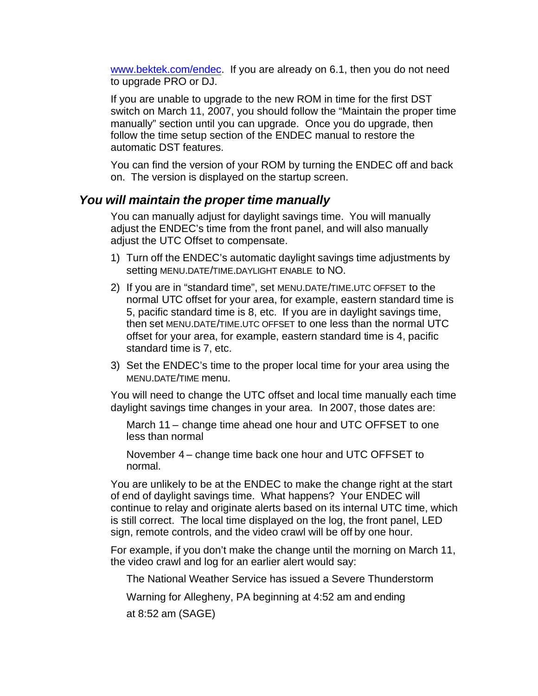www.bektek.com/endec. If you are already on 6.1, then you do not need to upgrade PRO or DJ.

If you are unable to upgrade to the new ROM in time for the first DST switch on March 11, 2007, you should follow the "Maintain the proper time manually" section until you can upgrade. Once you do upgrade, then follow the time setup section of the ENDEC manual to restore the automatic DST features.

You can find the version of your ROM by turning the ENDEC off and back on. The version is displayed on the startup screen.

#### *You will maintain the proper time manually*

You can manually adjust for daylight savings time. You will manually adjust the ENDEC's time from the front panel, and will also manually adjust the UTC Offset to compensate.

- 1) Turn off the ENDEC's automatic daylight savings time adjustments by setting MENU.DATE/TIME.DAYLIGHT ENABLE to NO.
- 2) If you are in "standard time", set MENU.DATE/TIME.UTC OFFSET to the normal UTC offset for your area, for example, eastern standard time is 5, pacific standard time is 8, etc. If you are in daylight savings time, then set MENU.DATE/TIME.UTC OFFSET to one less than the normal UTC offset for your area, for example, eastern standard time is 4, pacific standard time is 7, etc.
- 3) Set the ENDEC's time to the proper local time for your area using the MENU.DATE/TIME menu.

You will need to change the UTC offset and local time manually each time daylight savings time changes in your area. In 2007, those dates are:

March 11 – change time ahead one hour and UTC OFFSET to one less than normal

November 4 – change time back one hour and UTC OFFSET to normal.

You are unlikely to be at the ENDEC to make the change right at the start of end of daylight savings time. What happens? Your ENDEC will continue to relay and originate alerts based on its internal UTC time, which is still correct. The local time displayed on the log, the front panel, LED sign, remote controls, and the video crawl will be off by one hour.

For example, if you don't make the change until the morning on March 11, the video crawl and log for an earlier alert would say:

The National Weather Service has issued a Severe Thunderstorm

Warning for Allegheny, PA beginning at 4:52 am and ending

at 8:52 am (SAGE)